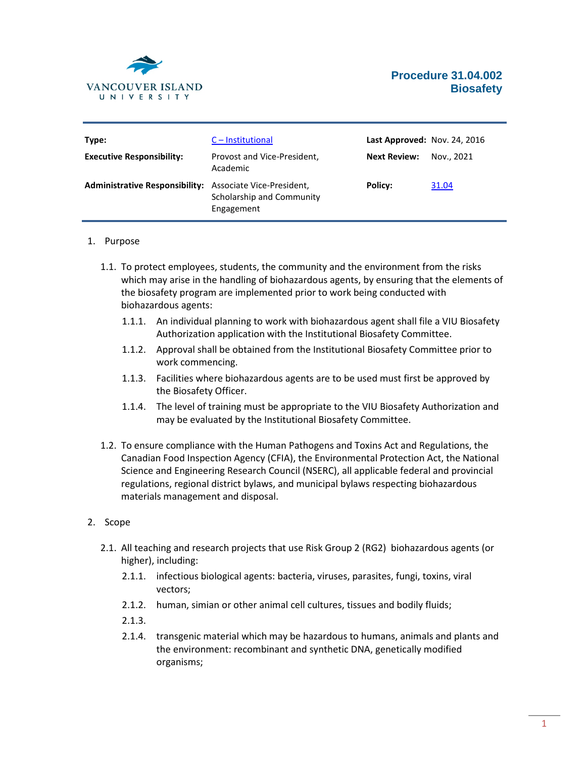

| Type:                                                           | C – Institutional                       | Last Approved: Nov. 24, 2016 |            |
|-----------------------------------------------------------------|-----------------------------------------|------------------------------|------------|
| <b>Executive Responsibility:</b>                                | Provost and Vice-President,<br>Academic | <b>Next Review:</b>          | Nov., 2021 |
| <b>Administrative Responsibility:</b> Associate Vice-President, | Scholarship and Community<br>Engagement | Policy:                      | 31.04      |

#### 1. Purpose

- 1.1. To protect employees, students, the community and the environment from the risks which may arise in the handling of biohazardous agents, by ensuring that the elements of the biosafety program are implemented prior to work being conducted with biohazardous agents:
	- 1.1.1. An individual planning to work with biohazardous agent shall file a VIU Biosafety Authorization application with the Institutional Biosafety Committee.
	- 1.1.2. Approval shall be obtained from the Institutional Biosafety Committee prior to work commencing.
	- 1.1.3. Facilities where biohazardous agents are to be used must first be approved by the Biosafety Officer.
	- 1.1.4. The level of training must be appropriate to the VIU Biosafety Authorization and may be evaluated by the Institutional Biosafety Committee.
- 1.2. To ensure compliance with the Human Pathogens and Toxins Act and Regulations, the Canadian Food Inspection Agency (CFIA), the Environmental Protection Act, the National Science and Engineering Research Council (NSERC), all applicable federal and provincial regulations, regional district bylaws, and municipal bylaws respecting biohazardous materials management and disposal.

### 2. Scope

- 2.1. All teaching and research projects that use Risk Group 2 (RG2) biohazardous agents (or higher), including:
	- 2.1.1. infectious biological agents: bacteria, viruses, parasites, fungi, toxins, viral vectors;
	- 2.1.2. human, simian or other animal cell cultures, tissues and bodily fluids;
	- 2.1.3.
	- 2.1.4. transgenic material which may be hazardous to humans, animals and plants and the environment: recombinant and synthetic DNA, genetically modified organisms;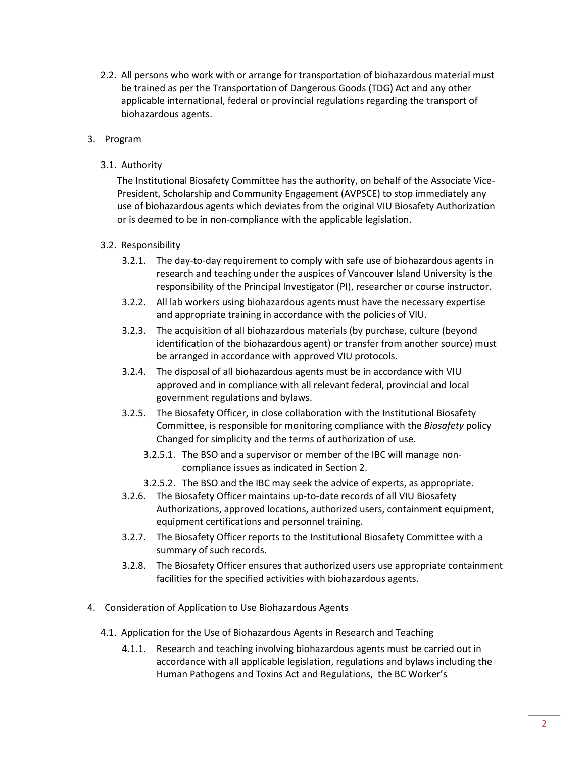2.2. All persons who work with or arrange for transportation of biohazardous material must be trained as per the Transportation of Dangerous Goods (TDG) Act and any other applicable international, federal or provincial regulations regarding the transport of biohazardous agents.

## 3. Program

3.1. Authority

The Institutional Biosafety Committee has the authority, on behalf of the Associate Vice-President, Scholarship and Community Engagement (AVPSCE) to stop immediately any use of biohazardous agents which deviates from the original VIU Biosafety Authorization or is deemed to be in non-compliance with the applicable legislation.

### 3.2. Responsibility

- 3.2.1. The day-to-day requirement to comply with safe use of biohazardous agents in research and teaching under the auspices of Vancouver Island University is the responsibility of the Principal Investigator (PI), researcher or course instructor.
- 3.2.2. All lab workers using biohazardous agents must have the necessary expertise and appropriate training in accordance with the policies of VIU.
- 3.2.3. The acquisition of all biohazardous materials (by purchase, culture (beyond identification of the biohazardous agent) or transfer from another source) must be arranged in accordance with approved VIU protocols.
- 3.2.4. The disposal of all biohazardous agents must be in accordance with VIU approved and in compliance with all relevant federal, provincial and local government regulations and bylaws.
- 3.2.5. The Biosafety Officer, in close collaboration with the Institutional Biosafety Committee, is responsible for monitoring compliance with the *Biosafety* policy Changed for simplicity and the terms of authorization of use.
	- 3.2.5.1. The BSO and a supervisor or member of the IBC will manage noncompliance issues as indicated in Section 2.
	- 3.2.5.2. The BSO and the IBC may seek the advice of experts, as appropriate.
- 3.2.6. The Biosafety Officer maintains up-to-date records of all VIU Biosafety Authorizations, approved locations, authorized users, containment equipment, equipment certifications and personnel training.
- 3.2.7. The Biosafety Officer reports to the Institutional Biosafety Committee with a summary of such records.
- 3.2.8. The Biosafety Officer ensures that authorized users use appropriate containment facilities for the specified activities with biohazardous agents.
- 4. Consideration of Application to Use Biohazardous Agents
	- 4.1. Application for the Use of Biohazardous Agents in Research and Teaching
		- 4.1.1. Research and teaching involving biohazardous agents must be carried out in accordance with all applicable legislation, regulations and bylaws including the Human Pathogens and Toxins Act and Regulations, the BC Worker's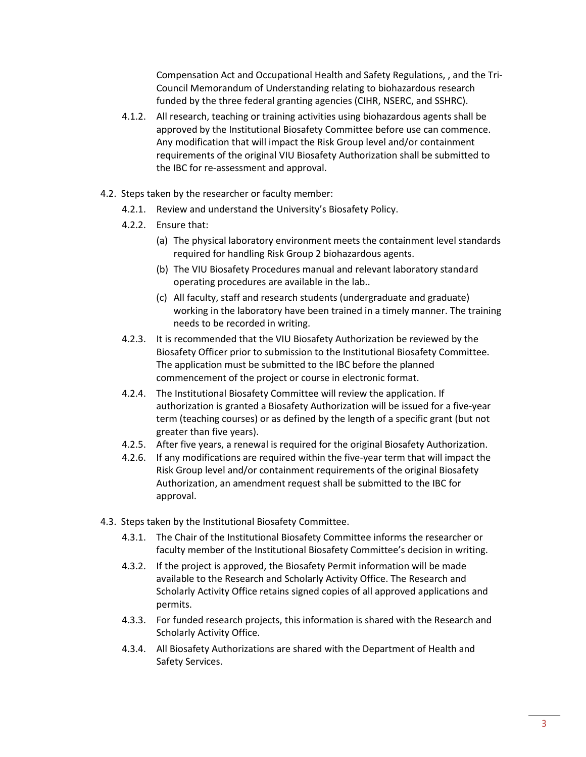Compensation Act and Occupational Health and Safety Regulations, , and the Tri-Council Memorandum of Understanding relating to biohazardous research funded by the three federal granting agencies (CIHR, NSERC, and SSHRC).

- 4.1.2. All research, teaching or training activities using biohazardous agents shall be approved by the Institutional Biosafety Committee before use can commence. Any modification that will impact the Risk Group level and/or containment requirements of the original VIU Biosafety Authorization shall be submitted to the IBC for re-assessment and approval.
- 4.2. Steps taken by the researcher or faculty member:
	- 4.2.1. Review and understand the University's Biosafety Policy.
	- 4.2.2. Ensure that:
		- (a) The physical laboratory environment meets the containment level standards required for handling Risk Group 2 biohazardous agents.
		- (b) The VIU Biosafety Procedures manual and relevant laboratory standard operating procedures are available in the lab..
		- (c) All faculty, staff and research students (undergraduate and graduate) working in the laboratory have been trained in a timely manner. The training needs to be recorded in writing.
	- 4.2.3. It is recommended that the VIU Biosafety Authorization be reviewed by the Biosafety Officer prior to submission to the Institutional Biosafety Committee. The application must be submitted to the IBC before the planned commencement of the project or course in electronic format.
	- 4.2.4. The Institutional Biosafety Committee will review the application. If authorization is granted a Biosafety Authorization will be issued for a five-year term (teaching courses) or as defined by the length of a specific grant (but not greater than five years).
	- 4.2.5. After five years, a renewal is required for the original Biosafety Authorization.
	- 4.2.6. If any modifications are required within the five-year term that will impact the Risk Group level and/or containment requirements of the original Biosafety Authorization, an amendment request shall be submitted to the IBC for approval.
- 4.3. Steps taken by the Institutional Biosafety Committee.
	- 4.3.1. The Chair of the Institutional Biosafety Committee informs the researcher or faculty member of the Institutional Biosafety Committee's decision in writing.
	- 4.3.2. If the project is approved, the Biosafety Permit information will be made available to the Research and Scholarly Activity Office. The Research and Scholarly Activity Office retains signed copies of all approved applications and permits.
	- 4.3.3. For funded research projects, this information is shared with the Research and Scholarly Activity Office.
	- 4.3.4. All Biosafety Authorizations are shared with the Department of Health and Safety Services.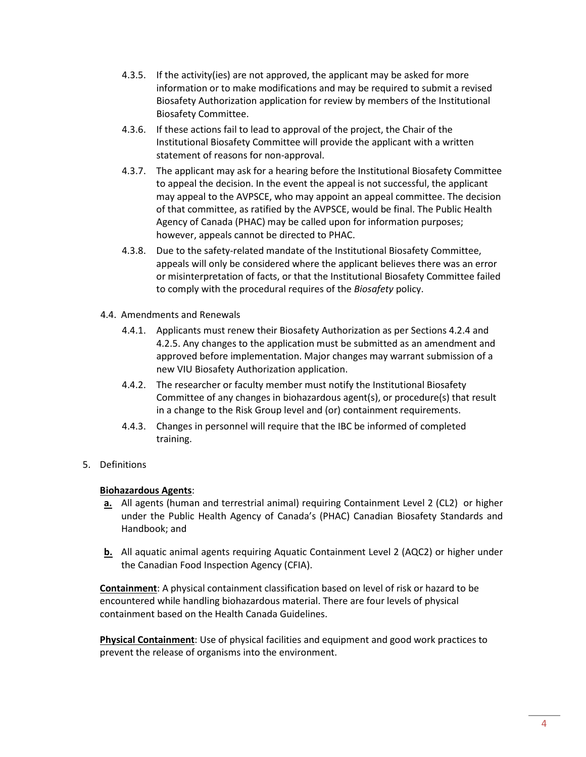- 4.3.5. If the activity(ies) are not approved, the applicant may be asked for more information or to make modifications and may be required to submit a revised Biosafety Authorization application for review by members of the Institutional Biosafety Committee.
- 4.3.6. If these actions fail to lead to approval of the project, the Chair of the Institutional Biosafety Committee will provide the applicant with a written statement of reasons for non-approval.
- 4.3.7. The applicant may ask for a hearing before the Institutional Biosafety Committee to appeal the decision. In the event the appeal is not successful, the applicant may appeal to the AVPSCE, who may appoint an appeal committee. The decision of that committee, as ratified by the AVPSCE, would be final. The Public Health Agency of Canada (PHAC) may be called upon for information purposes; however, appeals cannot be directed to PHAC.
- 4.3.8. Due to the safety-related mandate of the Institutional Biosafety Committee, appeals will only be considered where the applicant believes there was an error or misinterpretation of facts, or that the Institutional Biosafety Committee failed to comply with the procedural requires of the *Biosafety* policy.
- 4.4. Amendments and Renewals
	- 4.4.1. Applicants must renew their Biosafety Authorization as per Sections 4.2.4 and 4.2.5. Any changes to the application must be submitted as an amendment and approved before implementation. Major changes may warrant submission of a new VIU Biosafety Authorization application.
	- 4.4.2. The researcher or faculty member must notify the Institutional Biosafety Committee of any changes in biohazardous agent(s), or procedure(s) that result in a change to the Risk Group level and (or) containment requirements.
	- 4.4.3. Changes in personnel will require that the IBC be informed of completed training.
- 5. Definitions

# **Biohazardous Agents**:

- **a.** All agents (human and terrestrial animal) requiring Containment Level 2 (CL2) or higher under the Public Health Agency of Canada's (PHAC) Canadian Biosafety Standards and Handbook; and
- **b.** All aquatic animal agents requiring Aquatic Containment Level 2 (AQC2) or higher under the Canadian Food Inspection Agency (CFIA).

**Containment**: A physical containment classification based on level of risk or hazard to be encountered while handling biohazardous material. There are four levels of physical containment based on the Health Canada Guidelines.

**Physical Containment**: Use of physical facilities and equipment and good work practices to prevent the release of organisms into the environment.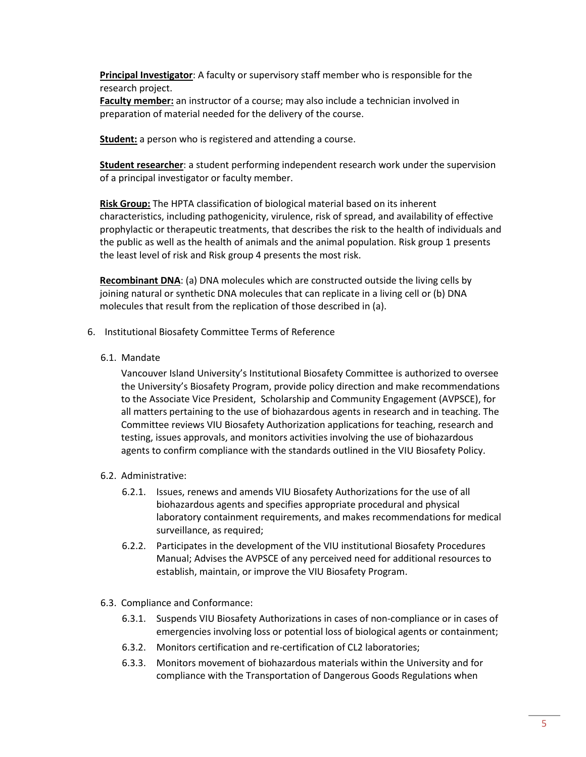**Principal Investigator**: A faculty or supervisory staff member who is responsible for the research project.

**Faculty member:** an instructor of a course; may also include a technician involved in preparation of material needed for the delivery of the course.

**Student:** a person who is registered and attending a course.

**Student researcher**: a student performing independent research work under the supervision of a principal investigator or faculty member.

**Risk Group:** The HPTA classification of biological material based on its inherent characteristics, including pathogenicity, virulence, risk of spread, and availability of effective prophylactic or therapeutic treatments, that describes the risk to the health of individuals and the public as well as the health of animals and the animal population. Risk group 1 presents the least level of risk and Risk group 4 presents the most risk.

**Recombinant DNA**: (a) DNA molecules which are constructed outside the living cells by joining natural or synthetic DNA molecules that can replicate in a living cell or (b) DNA molecules that result from the replication of those described in (a).

- 6. Institutional Biosafety Committee Terms of Reference
	- 6.1. Mandate

Vancouver Island University's Institutional Biosafety Committee is authorized to oversee the University's Biosafety Program, provide policy direction and make recommendations to the Associate Vice President, Scholarship and Community Engagement (AVPSCE), for all matters pertaining to the use of biohazardous agents in research and in teaching. The Committee reviews VIU Biosafety Authorization applications for teaching, research and testing, issues approvals, and monitors activities involving the use of biohazardous agents to confirm compliance with the standards outlined in the VIU Biosafety Policy.

- 6.2. Administrative:
	- 6.2.1. Issues, renews and amends VIU Biosafety Authorizations for the use of all biohazardous agents and specifies appropriate procedural and physical laboratory containment requirements, and makes recommendations for medical surveillance, as required;
	- 6.2.2. Participates in the development of the VIU institutional Biosafety Procedures Manual; Advises the AVPSCE of any perceived need for additional resources to establish, maintain, or improve the VIU Biosafety Program.
- 6.3. Compliance and Conformance:
	- 6.3.1. Suspends VIU Biosafety Authorizations in cases of non-compliance or in cases of emergencies involving loss or potential loss of biological agents or containment;
	- 6.3.2. Monitors certification and re-certification of CL2 laboratories;
	- 6.3.3. Monitors movement of biohazardous materials within the University and for compliance with the Transportation of Dangerous Goods Regulations when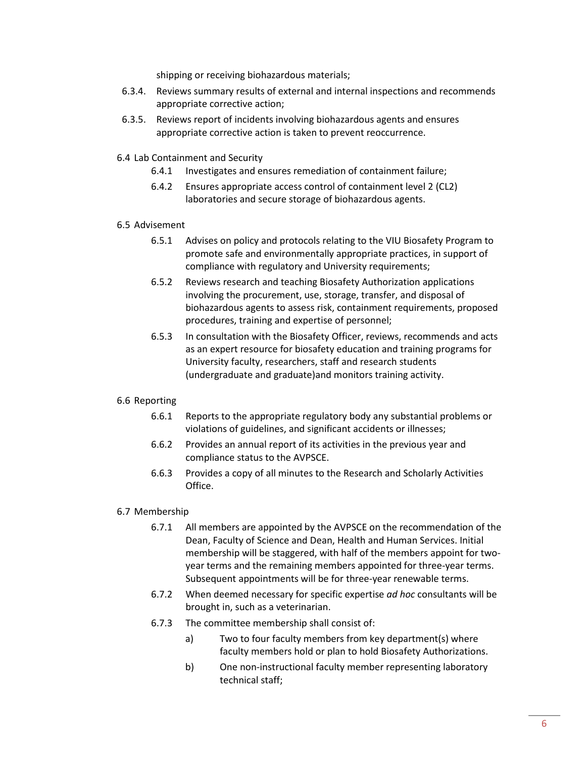shipping or receiving biohazardous materials;

- 6.3.4. Reviews summary results of external and internal inspections and recommends appropriate corrective action;
- 6.3.5. Reviews report of incidents involving biohazardous agents and ensures appropriate corrective action is taken to prevent reoccurrence.
- 6.4 Lab Containment and Security
	- 6.4.1 Investigates and ensures remediation of containment failure;
	- 6.4.2 Ensures appropriate access control of containment level 2 (CL2) laboratories and secure storage of biohazardous agents.

#### 6.5 Advisement

- 6.5.1 Advises on policy and protocols relating to the VIU Biosafety Program to promote safe and environmentally appropriate practices, in support of compliance with regulatory and University requirements;
- 6.5.2 Reviews research and teaching Biosafety Authorization applications involving the procurement, use, storage, transfer, and disposal of biohazardous agents to assess risk, containment requirements, proposed procedures, training and expertise of personnel;
- 6.5.3 In consultation with the Biosafety Officer, reviews, recommends and acts as an expert resource for biosafety education and training programs for University faculty, researchers, staff and research students (undergraduate and graduate)and monitors training activity.

### 6.6 Reporting

- 6.6.1 Reports to the appropriate regulatory body any substantial problems or violations of guidelines, and significant accidents or illnesses;
- 6.6.2 Provides an annual report of its activities in the previous year and compliance status to the AVPSCE.
- 6.6.3 Provides a copy of all minutes to the Research and Scholarly Activities Office.

#### 6.7 Membership

- 6.7.1 All members are appointed by the AVPSCE on the recommendation of the Dean, Faculty of Science and Dean, Health and Human Services. Initial membership will be staggered, with half of the members appoint for twoyear terms and the remaining members appointed for three-year terms. Subsequent appointments will be for three-year renewable terms.
- 6.7.2 When deemed necessary for specific expertise *ad hoc* consultants will be brought in, such as a veterinarian.
- 6.7.3 The committee membership shall consist of:
	- a) Two to four faculty members from key department(s) where faculty members hold or plan to hold Biosafety Authorizations.
	- b) One non-instructional faculty member representing laboratory technical staff;